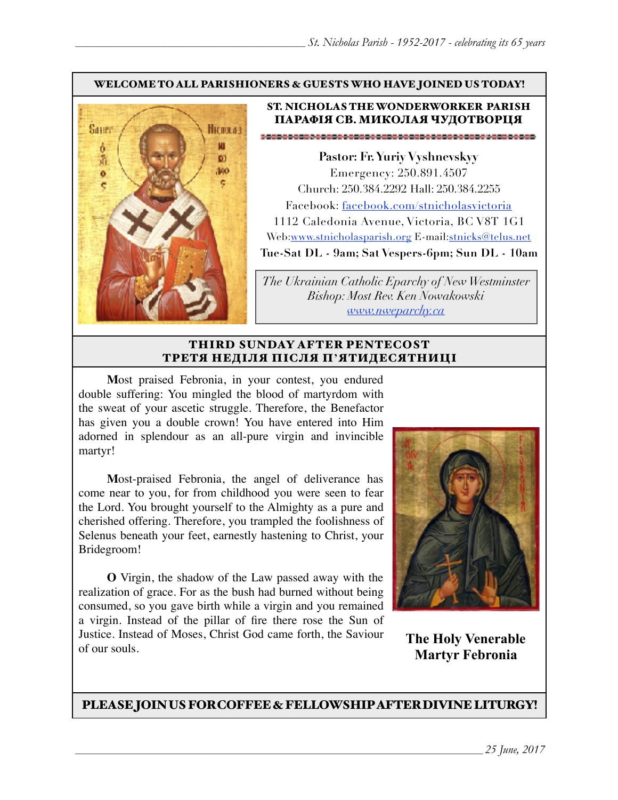#### WELCOME TO ALL PARISHIONERS & GUESTS WHO HAVE JOINED US TODAY!



#### ST. NICHOLAS THE WONDERWORKER PARISH ПАРАФІЯ СВ. МИКОЛАЯ ЧУДОТВОРЦЯ

**Pastor: Fr. Yuriy Vyshnevskyy** Emergency: 250.891.4507 Church: 250.384.2292 Hall: 250.384.2255 Facebook: facebook.com/stnicholasvictoria 1112 Caledonia Avenue, Victoria, BC V8T 1G1 Web[:www.stnicholasparish.org](http://www.stnicholasparish.org) E-mail:[stnicks@telus.net](mailto:stnicks@telus.net) **Tue-Sat DL - 9am; Sat Vespers-6pm; Sun DL - 10am**

*The Ukrainian Catholic Eparchy of New Westminster Bishop: Most Rev. Ken Nowakowski [www.nweparchy.ca](http://www.nweparchy.ca)*

#### THIRD SUNDAY AFTER PENTECOST ТРЕТЯ НЕДІЛЯ ПІСЛЯ П**'**ЯТИДЕСЯТНИЦІ

**M**ost praised Febronia, in your contest, you endured double suffering: You mingled the blood of martyrdom with the sweat of your ascetic struggle. Therefore, the Benefactor has given you a double crown! You have entered into Him adorned in splendour as an all-pure virgin and invincible martyr!

**M**ost-praised Febronia, the angel of deliverance has come near to you, for from childhood you were seen to fear the Lord. You brought yourself to the Almighty as a pure and cherished offering. Therefore, you trampled the foolishness of Selenus beneath your feet, earnestly hastening to Christ, your Bridegroom!

**O** Virgin, the shadow of the Law passed away with the realization of grace. For as the bush had burned without being consumed, so you gave birth while a virgin and you remained a virgin. Instead of the pillar of fire there rose the Sun of Justice. Instead of Moses, Christ God came forth, the Saviour of our souls.



**The Holy Venerable Martyr Febronia**

PLEASE JOIN US FOR COFFEE & FELLOWSHIP AFTER DIVINE LITURGY!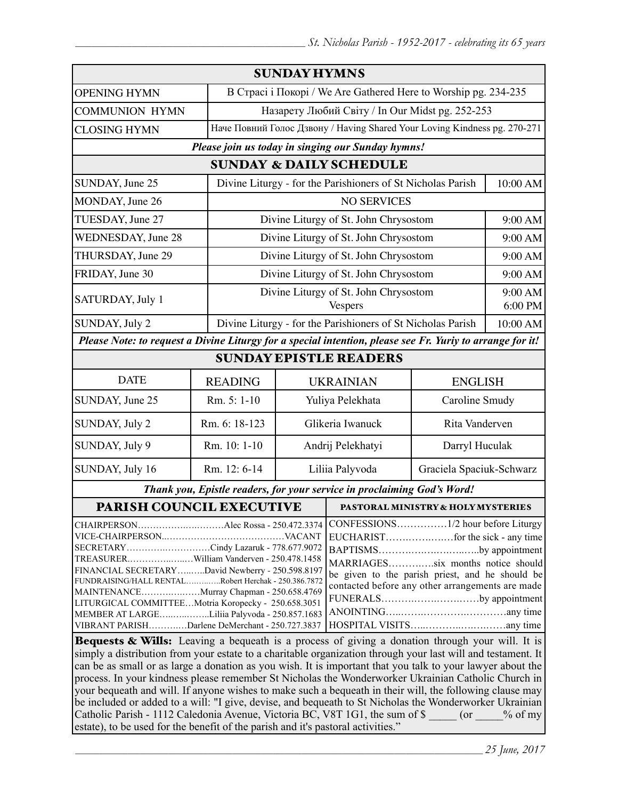| <b>SUNDAY HYMNS</b>                                                                                                                                                                                                                                                                                                                                                                                                                                                                                                                                                                      |                |                                                                           |                                                             |                          |                    |
|------------------------------------------------------------------------------------------------------------------------------------------------------------------------------------------------------------------------------------------------------------------------------------------------------------------------------------------------------------------------------------------------------------------------------------------------------------------------------------------------------------------------------------------------------------------------------------------|----------------|---------------------------------------------------------------------------|-------------------------------------------------------------|--------------------------|--------------------|
| <b>OPENING HYMN</b>                                                                                                                                                                                                                                                                                                                                                                                                                                                                                                                                                                      |                | В Страсі і Покорі / We Are Gathered Here to Worship pg. 234-235           |                                                             |                          |                    |
| <b>COMMUNION HYMN</b>                                                                                                                                                                                                                                                                                                                                                                                                                                                                                                                                                                    |                | Назарету Любий Світу / In Our Midst pg. 252-253                           |                                                             |                          |                    |
| <b>CLOSING HYMN</b>                                                                                                                                                                                                                                                                                                                                                                                                                                                                                                                                                                      |                | Наче Повний Голос Дзвону / Having Shared Your Loving Kindness pg. 270-271 |                                                             |                          |                    |
| Please join us today in singing our Sunday hymns!                                                                                                                                                                                                                                                                                                                                                                                                                                                                                                                                        |                |                                                                           |                                                             |                          |                    |
| <b>SUNDAY &amp; DAILY SCHEDULE</b>                                                                                                                                                                                                                                                                                                                                                                                                                                                                                                                                                       |                |                                                                           |                                                             |                          |                    |
| SUNDAY, June 25                                                                                                                                                                                                                                                                                                                                                                                                                                                                                                                                                                          |                | Divine Liturgy - for the Parishioners of St Nicholas Parish               |                                                             |                          | 10:00 AM           |
| MONDAY, June 26                                                                                                                                                                                                                                                                                                                                                                                                                                                                                                                                                                          |                | <b>NO SERVICES</b>                                                        |                                                             |                          |                    |
| TUESDAY, June 27                                                                                                                                                                                                                                                                                                                                                                                                                                                                                                                                                                         |                |                                                                           | Divine Liturgy of St. John Chrysostom                       |                          | 9:00 AM            |
| <b>WEDNESDAY</b> , June 28                                                                                                                                                                                                                                                                                                                                                                                                                                                                                                                                                               |                |                                                                           | Divine Liturgy of St. John Chrysostom                       |                          | 9:00 AM            |
| THURSDAY, June 29                                                                                                                                                                                                                                                                                                                                                                                                                                                                                                                                                                        |                |                                                                           | Divine Liturgy of St. John Chrysostom                       |                          |                    |
| FRIDAY, June 30                                                                                                                                                                                                                                                                                                                                                                                                                                                                                                                                                                          |                |                                                                           | Divine Liturgy of St. John Chrysostom                       |                          | 9:00 AM            |
| SATURDAY, July 1                                                                                                                                                                                                                                                                                                                                                                                                                                                                                                                                                                         |                |                                                                           | Divine Liturgy of St. John Chrysostom<br><b>Vespers</b>     |                          | 9:00 AM<br>6:00 PM |
| SUNDAY, July 2                                                                                                                                                                                                                                                                                                                                                                                                                                                                                                                                                                           |                |                                                                           | Divine Liturgy - for the Parishioners of St Nicholas Parish |                          | 10:00 AM           |
| Please Note: to request a Divine Liturgy for a special intention, please see Fr. Yuriy to arrange for it!                                                                                                                                                                                                                                                                                                                                                                                                                                                                                |                |                                                                           |                                                             |                          |                    |
| <b>SUNDAY EPISTLE READERS</b>                                                                                                                                                                                                                                                                                                                                                                                                                                                                                                                                                            |                |                                                                           |                                                             |                          |                    |
| <b>DATE</b>                                                                                                                                                                                                                                                                                                                                                                                                                                                                                                                                                                              | <b>READING</b> | <b>UKRAINIAN</b><br><b>ENGLISH</b>                                        |                                                             |                          |                    |
| SUNDAY, June 25                                                                                                                                                                                                                                                                                                                                                                                                                                                                                                                                                                          | Rm. 5: 1-10    | Yuliya Pelekhata<br>Caroline Smudy                                        |                                                             |                          |                    |
| SUNDAY, July 2                                                                                                                                                                                                                                                                                                                                                                                                                                                                                                                                                                           | Rm. 6: 18-123  | Glikeria Iwanuck                                                          |                                                             | Rita Vanderven           |                    |
| SUNDAY, July 9                                                                                                                                                                                                                                                                                                                                                                                                                                                                                                                                                                           | Rm. 10: 1-10   | Andrij Pelekhatyi                                                         |                                                             | Darryl Huculak           |                    |
| SUNDAY, July 16                                                                                                                                                                                                                                                                                                                                                                                                                                                                                                                                                                          | Rm. 12: 6-14   | Liliia Palyvoda                                                           |                                                             | Graciela Spaciuk-Schwarz |                    |
| Thank you, Epistle readers, for your service in proclaiming God's Word!                                                                                                                                                                                                                                                                                                                                                                                                                                                                                                                  |                |                                                                           |                                                             |                          |                    |
| PARISH COUNCIL EXECUTIVE                                                                                                                                                                                                                                                                                                                                                                                                                                                                                                                                                                 |                |                                                                           | PASTORAL MINISTRY & HOLY MYSTERIES                          |                          |                    |
| CONFESSIONS1/2 hour before Liturgy<br>SECRETARYCindy Lazaruk - 778.677.9072<br>BAPTISMSby appointment<br>TREASURERWilliam Vanderven - 250.478.1458<br>MARRIAGESsix months notice should<br>FINANCIAL SECRETARYDavid Newberry - 250.598.8197<br>be given to the parish priest, and he should be<br>FUNDRAISING/HALL RENTALRobert Herchak - 250.386.7872<br>contacted before any other arrangements are made<br>MAINTENANCEMurray Chapman - 250.658.4769<br>FUNERALSby appointment<br>LITURGICAL COMMITTEEMotria Koropecky - 250.658.3051<br>MEMBER AT LARGELiliia Palyvoda - 250.857.1683 |                |                                                                           |                                                             |                          |                    |
| VIBRANT PARISHDarlene DeMerchant - 250.727.3837<br>Bequests & Wills: Leaving a bequeath is a process of giving a donation through your will. It is                                                                                                                                                                                                                                                                                                                                                                                                                                       |                |                                                                           |                                                             |                          |                    |

simply a distribution from your estate to a charitable organization through your last will and testament. It can be as small or as large a donation as you wish. It is important that you talk to your lawyer about the process. In your kindness please remember St Nicholas the Wonderworker Ukrainian Catholic Church in your bequeath and will. If anyone wishes to make such a bequeath in their will, the following clause may be included or added to a will: "I give, devise, and bequeath to St Nicholas the Wonderworker Ukrainian Catholic Parish - 1112 Caledonia Avenue, Victoria BC, V8T 1G1, the sum of \$  $\qquad \qquad$  (or  $\qquad \qquad$  % of my estate), to be used for the benefit of the parish and it's pastoral activities."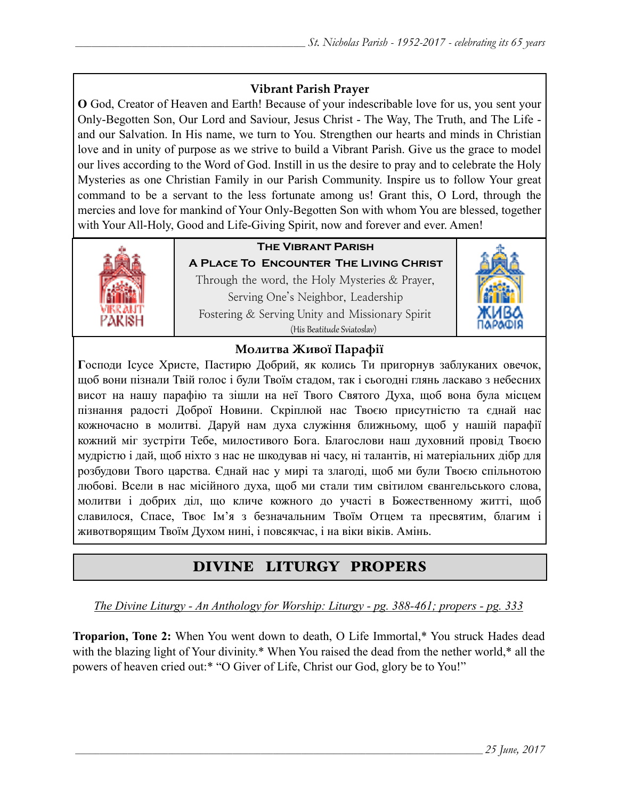## **Vibrant Parish Prayer**

**O** God, Creator of Heaven and Earth! Because of your indescribable love for us, you sent your Only-Begotten Son, Our Lord and Saviour, Jesus Christ - The Way, The Truth, and The Life and our Salvation. In His name, we turn to You. Strengthen our hearts and minds in Christian love and in unity of purpose as we strive to build a Vibrant Parish. Give us the grace to model our lives according to the Word of God. Instill in us the desire to pray and to celebrate the Holy Mysteries as one Christian Family in our Parish Community. Inspire us to follow Your great command to be a servant to the less fortunate among us! Grant this, O Lord, through the mercies and love for mankind of Your Only-Begotten Son with whom You are blessed, together with Your All-Holy, Good and Life-Giving Spirit, now and forever and ever. Amen!



## **The Vibrant Parish**

**A Place To Encounter The Living Christ** Through the word, the Holy Mysteries & Prayer, Serving One's Neighbor, Leadership Fostering & Serving Unity and Missionary Spirit (His Beatitude Sviatoslav)



### **Молитва Живої Парафії**

**Г**осподи Ісусе Христе, Пастирю Добрий, як колись Ти пригорнув заблуканих овечок, щоб вони пізнали Твій голос і були Твоїм стадом, так і сьогодні глянь ласкаво з небесних висот на нашу парафію та зішли на неї Твого Святого Духа, щоб вона була місцем пізнання радості Доброї Новини. Скріплюй нас Твоєю присутністю та єднай нас кожночасно в молитві. Даруй нам духа служіння ближньому, щоб у нашій парафії кожний міг зустріти Тебе, милостивого Бога. Благослови наш духовний провід Твоєю мудрістю і дай, щоб ніхто з нас не шкодував ні часу, ні талантів, ні матеріальних дібр для розбудови Твого царства. Єднай нас у мирі та злагоді, щоб ми були Твоєю спільнотою любові. Всели в нас місійного духа, щоб ми стали тим світилом євангельського слова, молитви і добрих діл, що кличе кожного до участі в Божественному житті, щоб славилося, Спасе, Твоє Ім'я з безначальним Твоїм Отцем та пресвятим, благим і животворящим Твоїм Духом нині, і повсякчас, і на віки віків. Амінь.

# DIVINE LITURGY PROPERS

*The Divine Liturgy - An Anthology for Worship: Liturgy - pg. 388-461; propers - pg. 333*

**Troparion, Tone 2:** When You went down to death, O Life Immortal,\* You struck Hades dead with the blazing light of Your divinity.\* When You raised the dead from the nether world,\* all the powers of heaven cried out:\* "O Giver of Life, Christ our God, glory be to You!"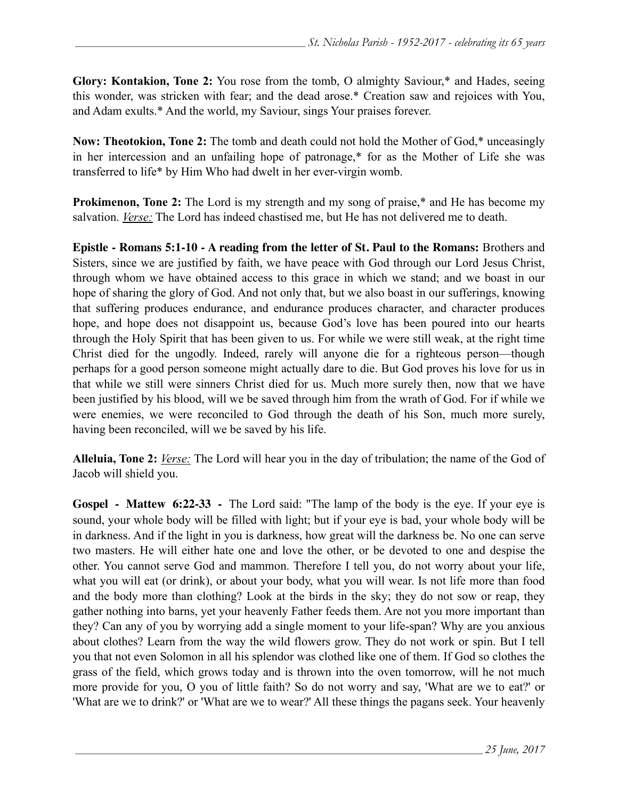**Glory: Kontakion, Tone 2:** You rose from the tomb, O almighty Saviour,\* and Hades, seeing this wonder, was stricken with fear; and the dead arose.\* Creation saw and rejoices with You, and Adam exults.\* And the world, my Saviour, sings Your praises forever.

**Now: Theotokion, Tone 2:** The tomb and death could not hold the Mother of God,\* unceasingly in her intercession and an unfailing hope of patronage,\* for as the Mother of Life she was transferred to life\* by Him Who had dwelt in her ever-virgin womb.

**Prokimenon, Tone 2:** The Lord is my strength and my song of praise,\* and He has become my salvation. *Verse:* The Lord has indeed chastised me, but He has not delivered me to death.

**Epistle - Romans 5:1-10 - A reading from the letter of St. Paul to the Romans:** Brothers and Sisters, since we are justified by faith, we have peace with God through our Lord Jesus Christ, through whom we have obtained access to this grace in which we stand; and we boast in our hope of sharing the glory of God. And not only that, but we also boast in our sufferings, knowing that suffering produces endurance, and endurance produces character, and character produces hope, and hope does not disappoint us, because God's love has been poured into our hearts through the Holy Spirit that has been given to us. For while we were still weak, at the right time Christ died for the ungodly. Indeed, rarely will anyone die for a righteous person—though perhaps for a good person someone might actually dare to die. But God proves his love for us in that while we still were sinners Christ died for us. Much more surely then, now that we have been justified by his blood, will we be saved through him from the wrath of God. For if while we were enemies, we were reconciled to God through the death of his Son, much more surely, having been reconciled, will we be saved by his life.

**Alleluia, Tone 2:** *Verse:* The Lord will hear you in the day of tribulation; the name of the God of Jacob will shield you.

**Gospel - Mattew 6:22-33 -** The Lord said: "The lamp of the body is the eye. If your eye is sound, your whole body will be filled with light; but if your eye is bad, your whole body will be in darkness. And if the light in you is darkness, how great will the darkness be. No one can serve two masters. He will either hate one and love the other, or be devoted to one and despise the other. You cannot serve God and mammon. Therefore I tell you, do not worry about your life, what you will eat (or drink), or about your body, what you will wear. Is not life more than food and the body more than clothing? Look at the birds in the sky; they do not sow or reap, they gather nothing into barns, yet your heavenly Father feeds them. Are not you more important than they? Can any of you by worrying add a single moment to your life-span? Why are you anxious about clothes? Learn from the way the wild flowers grow. They do not work or spin. But I tell you that not even Solomon in all his splendor was clothed like one of them. If God so clothes the grass of the field, which grows today and is thrown into the oven tomorrow, will he not much more provide for you, O you of little faith? So do not worry and say, 'What are we to eat?' or 'What are we to drink?' or 'What are we to wear?' All these things the pagans seek. Your heavenly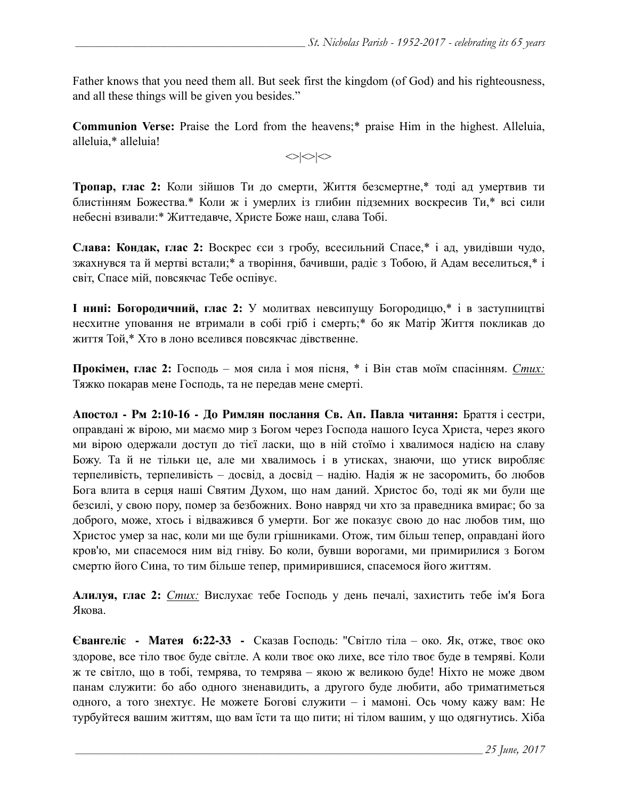Father knows that you need them all. But seek first the kingdom (of God) and his righteousness, and all these things will be given you besides."

**Communion Verse:** Praise the Lord from the heavens;\* praise Him in the highest. Alleluia, alleluia,\* alleluia!

 $\langle \rangle$ 

**Тропар, глас 2:** Коли зійшов Ти до смерти, Життя безсмертне,\* тоді ад умертвив ти блистінням Божества.\* Коли ж і умерлих із глибин підземних воскресив Ти,\* всі сили небесні взивали:\* Життедавче, Христе Боже наш, слава Тобі.

**Слава: Кондак, глас 2:** Воскрес єси з гробу, всесильний Спасе,\* і ад, увидівши чудо, зжахнувся та й мертві встали;\* а творіння, бачивши, радіє з Тобою, й Адам веселиться,\* і світ, Спасе мій, повсякчас Тебе оспівує.

**І нині: Богородичний, глас 2:** У молитвах невсипущу Богородицю,\* і в заступництві несхитне уповання не втримали в собі гріб і смерть;\* бо як Матір Життя покликав до життя Той,\* Хто в лоно вселився повсякчас дівственне.

**Прокімен, глас 2:** Господь – моя сила і моя пісня, \* і Він став моїм спасінням. *Стих:* Тяжко покарав мене Господь, та не передав мене смерті.

**Апостол - Рм 2:10-16 - До Римлян послання Св. Ап. Павла читання:** Браття і сестри, оправдані ж вірою, ми маємо мир з Богом через Господа нашого Ісуса Христа, через якого ми вірою одержали доступ до тієї ласки, що в ній стоїмо і хвалимося надією на славу Божу. Та й не тільки це, але ми хвалимось і в утисках, знаючи, що утиск виробляє терпеливість, терпеливість – досвід, а досвід – надію. Надія ж не засоромить, бо любов Бога влита в серця наші Святим Духом, що нам даний. Христос бо, тоді як ми були ще безсилі, у свою пору, помер за безбожних. Воно навряд чи хто за праведника вмирає; бо за доброго, може, хтось і відважився б умерти. Бог же показує свою до нас любов тим, що Христос умер за нас, коли ми ще були грішниками. Отож, тим більш тепер, оправдані його кров'ю, ми спасемося ним від гніву. Бо коли, бувши ворогами, ми примирилися з Богом смертю його Сина, то тим більше тепер, примирившися, спасемося його життям.

**Алилуя, глас 2:** *Стих:* Вислухає тебе Господь у день печалі, захистить тебе ім'я Бога Якова.

**Євангеліє - Матея 6:22-33 -** Сказав Господь: "Світло тіла – око. Як, отже, твоє око здорове, все тіло твоє буде світле. А коли твоє око лихе, все тіло твоє буде в темряві. Коли ж те світло, що в тобі, темрява, то темрява – якою ж великою буде! Ніхто не може двом панам служити: бо або одного зненавидить, а другого буде любити, або триматиметься одного, а того знехтує. Не можете Богові служити – і мамоні. Ось чому кажу вам: Не турбуйтеся вашим життям, що вам їсти та що пити; ні тілом вашим, у що одягнутись. Хіба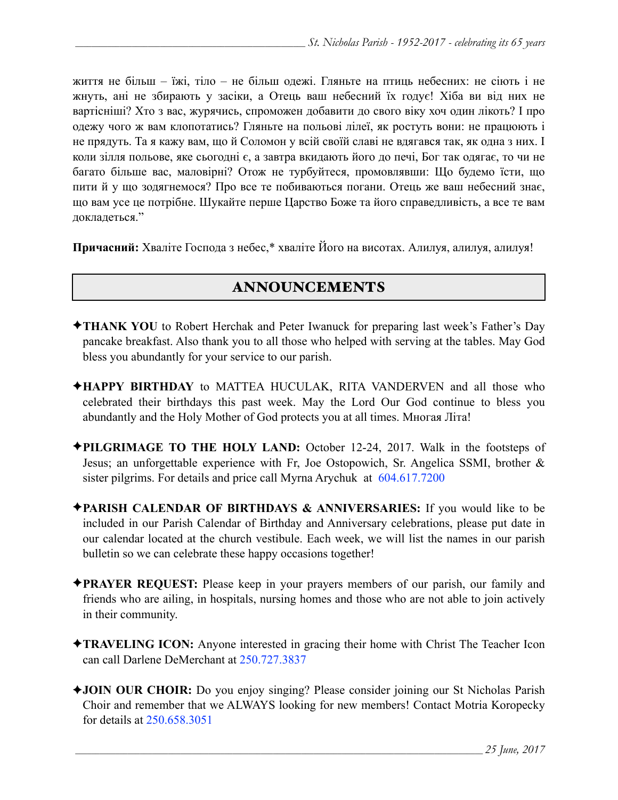життя не більш – їжі, тіло – не більш одежі. Гляньте на птиць небесних: не сіють і не жнуть, ані не збирають у засіки, а Отець ваш небесний їх годує! Хіба ви від них не вартісніші? Хто з вас, журячись, спроможен добавити до свого віку хоч один лікоть? І про одежу чого ж вам клопотатись? Гляньте на польові лілеї, як ростуть вони: не працюють і не прядуть. Та я кажу вам, що й Соломон у всій своїй славі не вдягався так, як одна з них. І коли зілля польове, яке сьогодні є, а завтра вкидають його до печі, Бог так одягає, то чи не багато більше вас, маловірні? Отож не турбуйтеся, промовлявши: Що будемо їсти, що пити й у що зодягнемося? Про все те побиваються погани. Отець же ваш небесний знає, що вам усе це потрібне. Шукайте перше Царство Боже та його справедливість, а все те вам докладеться."

**Причасний:** Хваліте Господа з небес,\* хваліте Його на висотах. Алилуя, алилуя, алилуя!

## ANNOUNCEMENTS

- ✦**THANK YOU** to Robert Herchak and Peter Iwanuck for preparing last week's Father's Day pancake breakfast. Also thank you to all those who helped with serving at the tables. May God bless you abundantly for your service to our parish.
- ✦**HAPPY BIRTHDAY** to MATTEA HUCULAK, RITA VANDERVEN and all those who celebrated their birthdays this past week. May the Lord Our God continue to bless you abundantly and the Holy Mother of God protects you at all times. Многая Літа!
- ✦**PILGRIMAGE TO THE HOLY LAND:** October 12-24, 2017. Walk in the footsteps of Jesus; an unforgettable experience with Fr, Joe Ostopowich, Sr. Angelica SSMI, brother & sister pilgrims. For details and price call Myrna Arychuk at 604.617.7200
- ✦**PARISH CALENDAR OF BIRTHDAYS & ANNIVERSARIES:** If you would like to be included in our Parish Calendar of Birthday and Anniversary celebrations, please put date in our calendar located at the church vestibule. Each week, we will list the names in our parish bulletin so we can celebrate these happy occasions together!
- ✦**PRAYER REQUEST:** Please keep in your prayers members of our parish, our family and friends who are ailing, in hospitals, nursing homes and those who are not able to join actively in their community.
- ✦**TRAVELING ICON:** Anyone interested in gracing their home with Christ The Teacher Icon can call Darlene DeMerchant at 250.727.3837
- ✦**JOIN OUR CHOIR:** Do you enjoy singing? Please consider joining our St Nicholas Parish Choir and remember that we ALWAYS looking for new members! Contact Motria Koropecky for details at 250.658.3051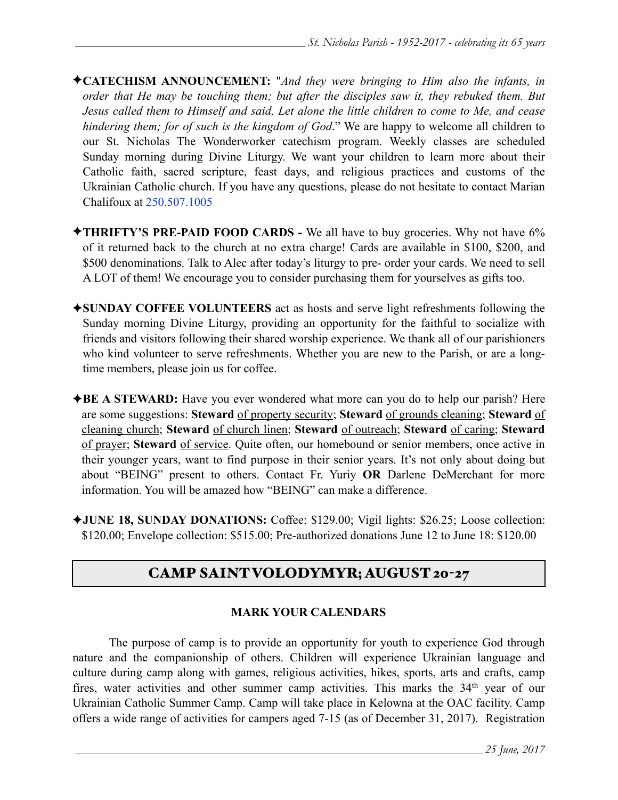- ✦**CATECHISM ANNOUNCEMENT:** "*And they were bringing to Him also the infants, in order that He may be touching them; but after the disciples saw it, they rebuked them. But Jesus called them to Himself and said, Let alone the little children to come to Me, and cease hindering them; for of such is the kingdom of God*." We are happy to welcome all children to our St. Nicholas The Wonderworker catechism program. Weekly classes are scheduled Sunday morning during Divine Liturgy. We want your children to learn more about their Catholic faith, sacred scripture, feast days, and religious practices and customs of the Ukrainian Catholic church. If you have any questions, please do not hesitate to contact Marian Chalifoux at 250.507.1005
- ✦**THRIFTY'S PRE-PAID FOOD CARDS** We all have to buy groceries. Why not have 6% of it returned back to the church at no extra charge! Cards are available in \$100, \$200, and \$500 denominations. Talk to Alec after today's liturgy to pre- order your cards. We need to sell A LOT of them! We encourage you to consider purchasing them for yourselves as gifts too.
- ✦**SUNDAY COFFEE VOLUNTEERS** act as hosts and serve light refreshments following the Sunday morning Divine Liturgy, providing an opportunity for the faithful to socialize with friends and visitors following their shared worship experience. We thank all of our parishioners who kind volunteer to serve refreshments. Whether you are new to the Parish, or are a longtime members, please join us for coffee.
- ✦**BE A STEWARD:** Have you ever wondered what more can you do to help our parish? Here are some suggestions: **Steward** of property security; **Steward** of grounds cleaning; **Steward** of cleaning church; **Steward** of church linen; **Steward** of outreach; **Steward** of caring; **Steward** of prayer; **Steward** of service. Quite often, our homebound or senior members, once active in their younger years, want to find purpose in their senior years. It's not only about doing but about "BEING" present to others. Contact Fr. Yuriy **OR** Darlene DeMerchant for more information. You will be amazed how "BEING" can make a difference.
- ✦**JUNE 18, SUNDAY DONATIONS:** Coffee: \$129.00; Vigil lights: \$26.25; Loose collection: \$120.00; Envelope collection: \$515.00; Pre-authorized donations June 12 to June 18: \$120.00

# CAMP SAINT VOLODYMYR; AUGUST 20-27

#### **MARK YOUR CALENDARS**

 The purpose of camp is to provide an opportunity for youth to experience God through nature and the companionship of others. Children will experience Ukrainian language and culture during camp along with games, religious activities, hikes, sports, arts and crafts, camp fires, water activities and other summer camp activities. This marks the 34<sup>th</sup> year of our Ukrainian Catholic Summer Camp. Camp will take place in Kelowna at the OAC facility. Camp offers a wide range of activities for campers aged 7-15 (as of December 31, 2017). Registration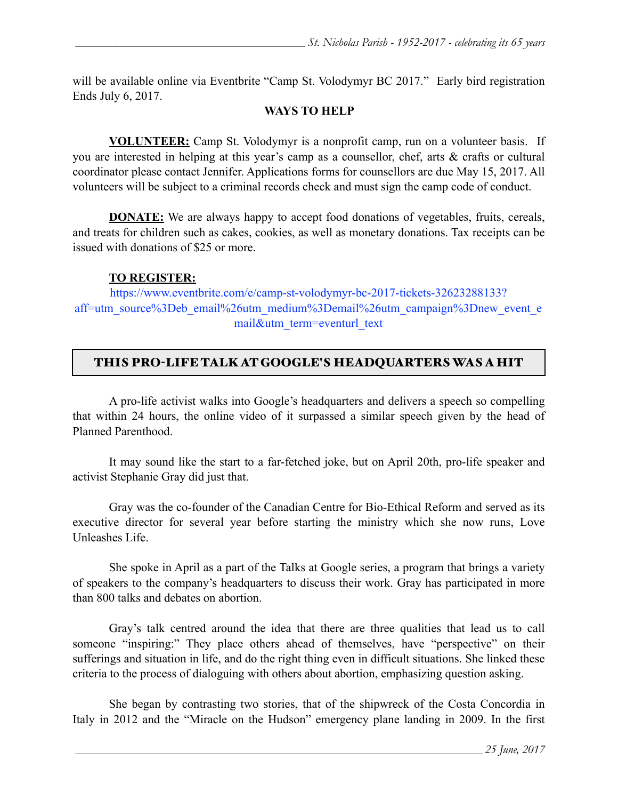will be available online via Eventbrite "Camp St. Volodymyr BC 2017." Early bird registration Ends July 6, 2017.

### **WAYS TO HELP**

**VOLUNTEER:** Camp St. Volodymyr is a nonprofit camp, run on a volunteer basis. If you are interested in helping at this year's camp as a counsellor, chef, arts & crafts or cultural coordinator please contact Jennifer. Applications forms for counsellors are due May 15, 2017. All volunteers will be subject to a criminal records check and must sign the camp code of conduct.

**DONATE:** We are always happy to accept food donations of vegetables, fruits, cereals, and treats for children such as cakes, cookies, as well as monetary donations. Tax receipts can be issued with donations of \$25 or more.

### **TO REGISTER:**

[https://www.eventbrite.com/e/camp-st-volodymyr-bc-2017-tickets-32623288133?](https://www.eventbrite.com/e/camp-st-volodymyr-bc-2017-tickets-32623288133?aff=utm_source%3Deb_email%26utm_medium%3Demail%26utm_campaign%3Dnew_event_email&utm_term=eventurl_text) [aff=utm\\_source%3Deb\\_email%26utm\\_medium%3Demail%26utm\\_campaign%3Dnew\\_event\\_e](https://www.eventbrite.com/e/camp-st-volodymyr-bc-2017-tickets-32623288133?aff=utm_source%3Deb_email%26utm_medium%3Demail%26utm_campaign%3Dnew_event_email&utm_term=eventurl_text) [mail&utm\\_term=eventurl\\_text](https://www.eventbrite.com/e/camp-st-volodymyr-bc-2017-tickets-32623288133?aff=utm_source%3Deb_email%26utm_medium%3Demail%26utm_campaign%3Dnew_event_email&utm_term=eventurl_text)

## THIS PRO-LIFE TALK AT GOOGLE'S HEADQUARTERS WAS A HIT

A pro-life activist walks into Google's headquarters and delivers a speech so compelling that within 24 hours, the online video of it surpassed a similar speech given by the head of Planned Parenthood.

It may sound like the start to a far-fetched joke, but on April 20th, pro-life speaker and activist Stephanie Gray did just that.

Gray was the co-founder of the Canadian Centre for Bio-Ethical Reform and served as its executive director for several year before starting the ministry which she now runs, Love Unleashes Life.

She spoke in April as a part of the Talks at Google series, a program that brings a variety of speakers to the company's headquarters to discuss their work. Gray has participated in more than 800 talks and debates on abortion.

 Gray's talk centred around the idea that there are three qualities that lead us to call someone "inspiring:" They place others ahead of themselves, have "perspective" on their sufferings and situation in life, and do the right thing even in difficult situations. She linked these criteria to the process of dialoguing with others about abortion, emphasizing question asking.

She began by contrasting two stories, that of the shipwreck of the Costa Concordia in Italy in 2012 and the "Miracle on the Hudson" emergency plane landing in 2009. In the first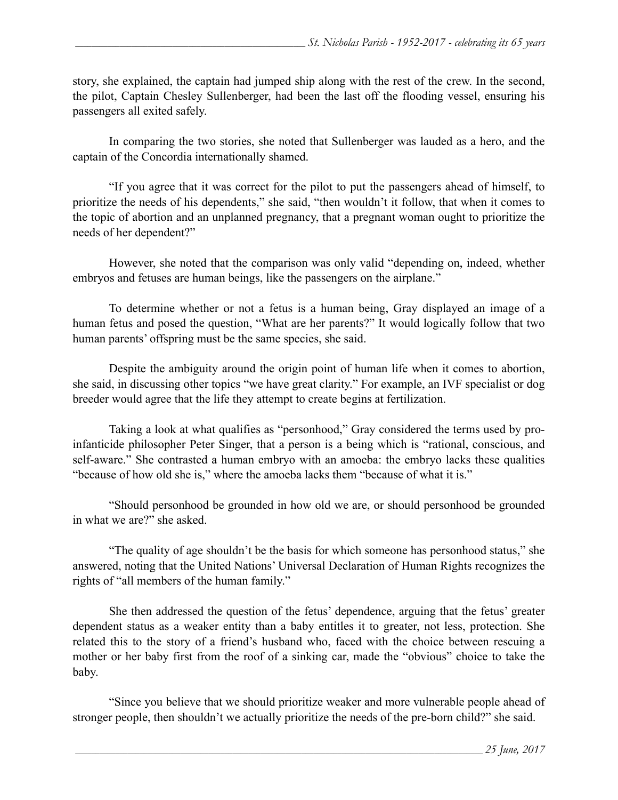story, she explained, the captain had jumped ship along with the rest of the crew. In the second, the pilot, Captain Chesley Sullenberger, had been the last off the flooding vessel, ensuring his passengers all exited safely.

In comparing the two stories, she noted that Sullenberger was lauded as a hero, and the captain of the Concordia internationally shamed.

"If you agree that it was correct for the pilot to put the passengers ahead of himself, to prioritize the needs of his dependents," she said, "then wouldn't it follow, that when it comes to the topic of abortion and an unplanned pregnancy, that a pregnant woman ought to prioritize the needs of her dependent?"

However, she noted that the comparison was only valid "depending on, indeed, whether embryos and fetuses are human beings, like the passengers on the airplane."

To determine whether or not a fetus is a human being, Gray displayed an image of a human fetus and posed the question, "What are her parents?" It would logically follow that two human parents' offspring must be the same species, she said.

Despite the ambiguity around the origin point of human life when it comes to abortion, she said, in discussing other topics "we have great clarity." For example, an IVF specialist or dog breeder would agree that the life they attempt to create begins at fertilization.

Taking a look at what qualifies as "personhood," Gray considered the terms used by proinfanticide philosopher Peter Singer, that a person is a being which is "rational, conscious, and self-aware." She contrasted a human embryo with an amoeba: the embryo lacks these qualities "because of how old she is," where the amoeba lacks them "because of what it is."

"Should personhood be grounded in how old we are, or should personhood be grounded in what we are?" she asked.

"The quality of age shouldn't be the basis for which someone has personhood status," she answered, noting that the United Nations' Universal Declaration of Human Rights recognizes the rights of "all members of the human family."

 She then addressed the question of the fetus' dependence, arguing that the fetus' greater dependent status as a weaker entity than a baby entitles it to greater, not less, protection. She related this to the story of a friend's husband who, faced with the choice between rescuing a mother or her baby first from the roof of a sinking car, made the "obvious" choice to take the baby.

"Since you believe that we should prioritize weaker and more vulnerable people ahead of stronger people, then shouldn't we actually prioritize the needs of the pre-born child?" she said.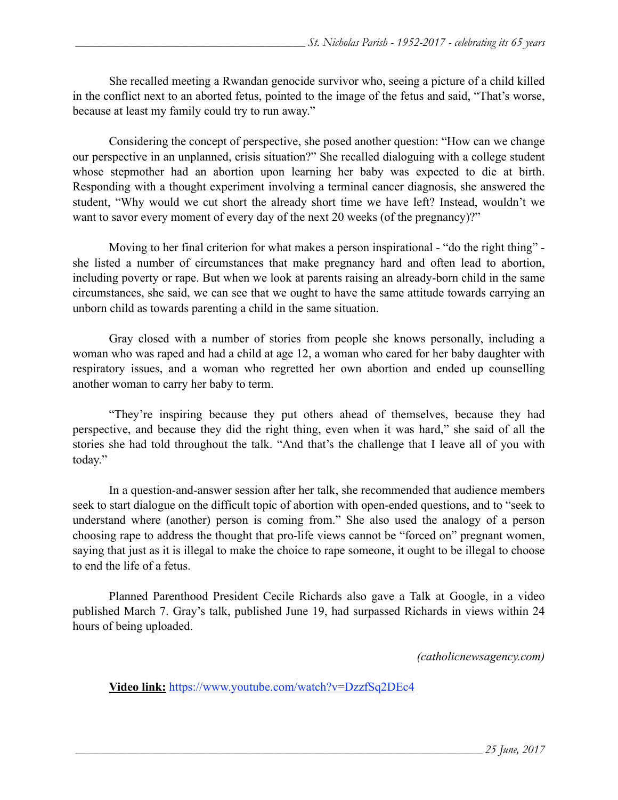She recalled meeting a Rwandan genocide survivor who, seeing a picture of a child killed in the conflict next to an aborted fetus, pointed to the image of the fetus and said, "That's worse, because at least my family could try to run away."

Considering the concept of perspective, she posed another question: "How can we change our perspective in an unplanned, crisis situation?" She recalled dialoguing with a college student whose stepmother had an abortion upon learning her baby was expected to die at birth. Responding with a thought experiment involving a terminal cancer diagnosis, she answered the student, "Why would we cut short the already short time we have left? Instead, wouldn't we want to savor every moment of every day of the next 20 weeks (of the pregnancy)?"

Moving to her final criterion for what makes a person inspirational - "do the right thing" she listed a number of circumstances that make pregnancy hard and often lead to abortion, including poverty or rape. But when we look at parents raising an already-born child in the same circumstances, she said, we can see that we ought to have the same attitude towards carrying an unborn child as towards parenting a child in the same situation.

 Gray closed with a number of stories from people she knows personally, including a woman who was raped and had a child at age 12, a woman who cared for her baby daughter with respiratory issues, and a woman who regretted her own abortion and ended up counselling another woman to carry her baby to term.

"They're inspiring because they put others ahead of themselves, because they had perspective, and because they did the right thing, even when it was hard," she said of all the stories she had told throughout the talk. "And that's the challenge that I leave all of you with today."

In a question-and-answer session after her talk, she recommended that audience members seek to start dialogue on the difficult topic of abortion with open-ended questions, and to "seek to understand where (another) person is coming from." She also used the analogy of a person choosing rape to address the thought that pro-life views cannot be "forced on" pregnant women, saying that just as it is illegal to make the choice to rape someone, it ought to be illegal to choose to end the life of a fetus.

 Planned Parenthood President Cecile Richards also gave a Talk at Google, in a video published March 7. Gray's talk, published June 19, had surpassed Richards in views within 24 hours of being uploaded.

*(catholicnewsagency.com)* 

**Video link:** <https://www.youtube.com/watch?v=DzzfSq2DEc4>